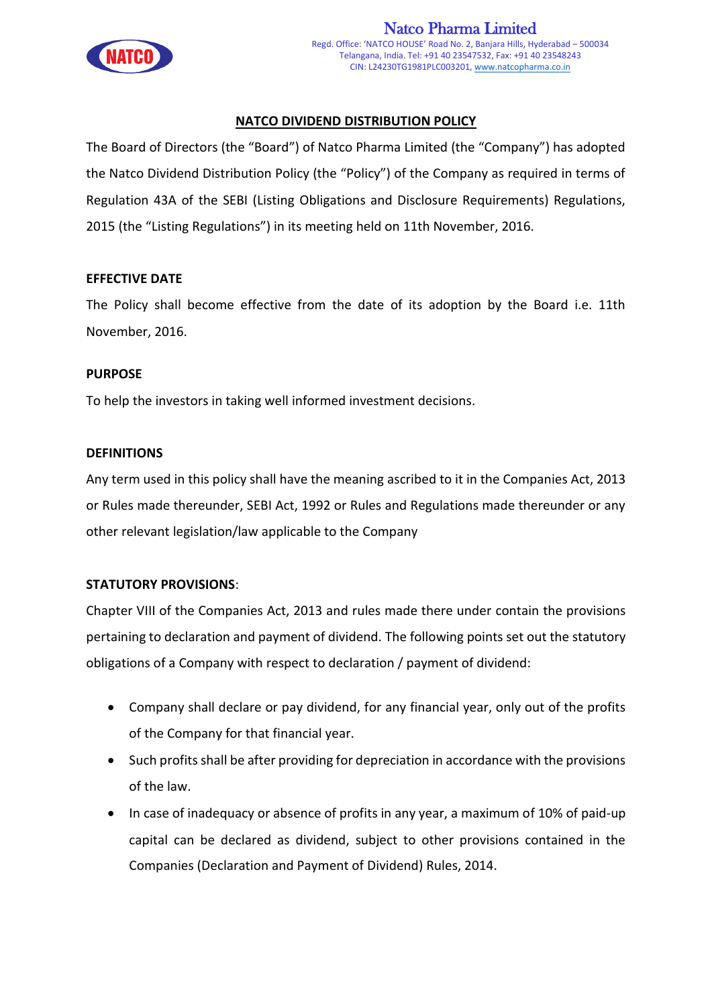

The Board of Directors (the "Board") of Natco Pharma Limited (the "Company") has adopted the Natco Dividend Distribution Policy (the "Policy") of the Company as required in terms of Regulation 43A of the SEBI (Listing Obligations and Disclosure Requirements) Regulations, 2015 (the "Listing Regulations") in its meeting held on 11th November, 2016.

## **EFFECTIVE DATE**

The Policy shall become effective from the date of its adoption by the Board i.e. 11th November, 2016.

#### **PURPOSE**

To help the investors in taking well informed investment decisions.

#### **DEFINITIONS**

Any term used in this policy shall have the meaning ascribed to it in the Companies Act, 2013 or Rules made thereunder, SEBI Act, 1992 or Rules and Regulations made thereunder or any other relevant legislation/law applicable to the Company

## **STATUTORY PROVISIONS**:

Chapter VIII of the Companies Act, 2013 and rules made there under contain the provisions pertaining to declaration and payment of dividend. The following points set out the statutory obligations of a Company with respect to declaration / payment of dividend:

- Company shall declare or pay dividend, for any financial year, only out of the profits of the Company for that financial year.
- Such profits shall be after providing for depreciation in accordance with the provisions of the law.
- In case of inadequacy or absence of profits in any year, a maximum of 10% of paid-up capital can be declared as dividend, subject to other provisions contained in the Companies (Declaration and Payment of Dividend) Rules, 2014.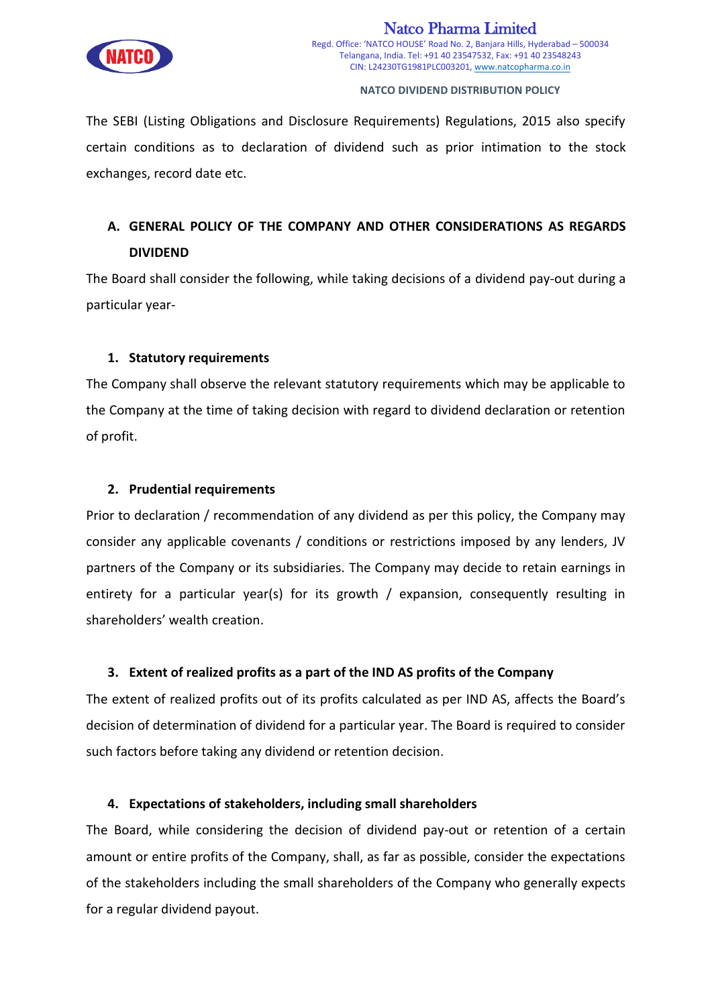

The SEBI (Listing Obligations and Disclosure Requirements) Regulations, 2015 also specify certain conditions as to declaration of dividend such as prior intimation to the stock exchanges, record date etc.

# **A. GENERAL POLICY OF THE COMPANY AND OTHER CONSIDERATIONS AS REGARDS DIVIDEND**

The Board shall consider the following, while taking decisions of a dividend pay-out during a particular year-

# **1. Statutory requirements**

The Company shall observe the relevant statutory requirements which may be applicable to the Company at the time of taking decision with regard to dividend declaration or retention of profit.

## **2. Prudential requirements**

Prior to declaration / recommendation of any dividend as per this policy, the Company may consider any applicable covenants / conditions or restrictions imposed by any lenders, JV partners of the Company or its subsidiaries. The Company may decide to retain earnings in entirety for a particular year(s) for its growth / expansion, consequently resulting in shareholders' wealth creation.

# **3. Extent of realized profits as a part of the IND AS profits of the Company**

The extent of realized profits out of its profits calculated as per IND AS, affects the Board's decision of determination of dividend for a particular year. The Board is required to consider such factors before taking any dividend or retention decision.

## **4. Expectations of stakeholders, including small shareholders**

The Board, while considering the decision of dividend pay-out or retention of a certain amount or entire profits of the Company, shall, as far as possible, consider the expectations of the stakeholders including the small shareholders of the Company who generally expects for a regular dividend payout.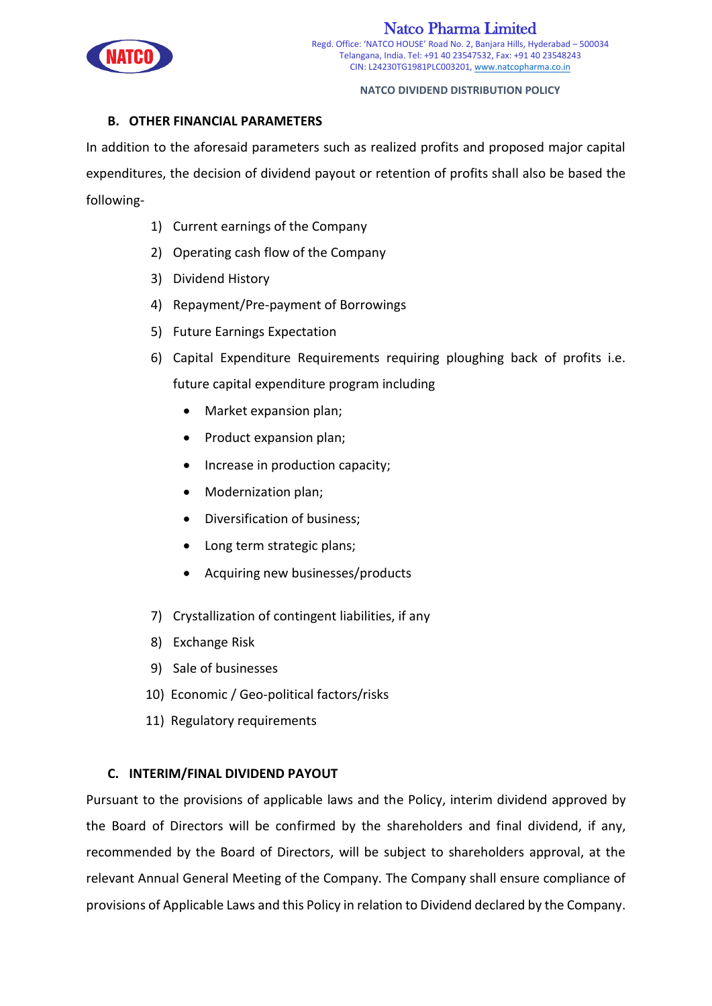

## **B. OTHER FINANCIAL PARAMETERS**

In addition to the aforesaid parameters such as realized profits and proposed major capital expenditures, the decision of dividend payout or retention of profits shall also be based the following-

- 1) Current earnings of the Company
- 2) Operating cash flow of the Company
- 3) Dividend History
- 4) Repayment/Pre-payment of Borrowings
- 5) Future Earnings Expectation
- 6) Capital Expenditure Requirements requiring ploughing back of profits i.e. future capital expenditure program including
	- Market expansion plan;
	- Product expansion plan;
	- Increase in production capacity;
	- Modernization plan;
	- Diversification of business:
	- Long term strategic plans;
	- Acquiring new businesses/products
- 7) Crystallization of contingent liabilities, if any
- 8) Exchange Risk
- 9) Sale of businesses
- 10) Economic / Geo-political factors/risks
- 11) Regulatory requirements

## **C. INTERIM/FINAL DIVIDEND PAYOUT**

Pursuant to the provisions of applicable laws and the Policy, interim dividend approved by the Board of Directors will be confirmed by the shareholders and final dividend, if any, recommended by the Board of Directors, will be subject to shareholders approval, at the relevant Annual General Meeting of the Company. The Company shall ensure compliance of provisions of Applicable Laws and this Policy in relation to Dividend declared by the Company.